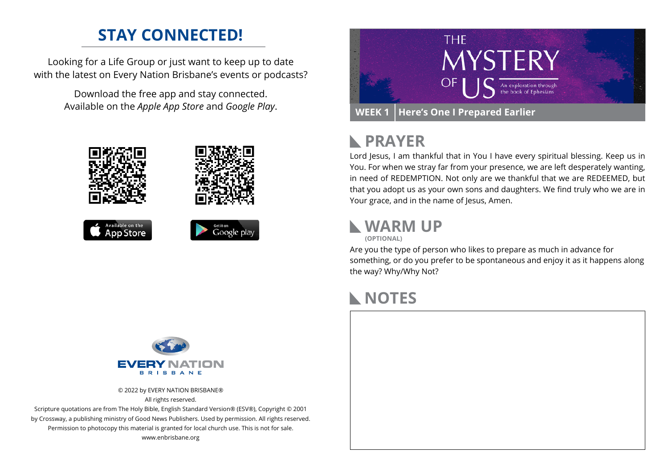# **STAY CONNECTED!**

Looking for a Life Group or just want to keep up to date with the latest on Every Nation Brisbane's events or podcasts?

> Download the free app and stay connected. Available on the *Apple App Store* and *Google Play*.





## **PRAYER**  $\mathbb{R}$

Lord Jesus, I am thankful that in You I have every spiritual blessing. Keep us in You. For when we stray far from your presence, we are left desperately wanting, in need of REDEMPTION. Not only are we thankful that we are REDEEMED, but that you adopt us as your own sons and daughters. We find truly who we are in Your grace, and in the name of Jesus, Amen.

## **WARM UP (OPTIONAL)**

Are you the type of person who likes to prepare as much in advance for something, or do you prefer to be spontaneous and enjoy it as it happens along the way? Why/Why Not?

## **NOTES**



© 2022 by EVERY NATION BRISBANE® All rights reserved.

Scripture quotations are from The Holy Bible, English Standard Version® (ESV®), Copyright © 2001 by Crossway, a publishing ministry of Good News Publishers. Used by permission. All rights reserved. Permission to photocopy this material is granted for local church use. This is not for sale. www.enbrisbane.org